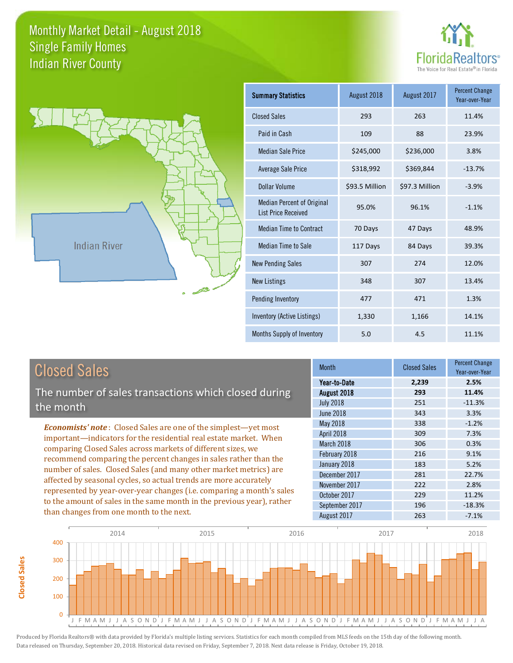



| <b>Summary Statistics</b>                                       | August 2018    | August 2017    | <b>Percent Change</b><br>Year-over-Year |
|-----------------------------------------------------------------|----------------|----------------|-----------------------------------------|
| <b>Closed Sales</b>                                             | 293            | 263            | 11.4%                                   |
| Paid in Cash                                                    | 109            | 88             | 23.9%                                   |
| <b>Median Sale Price</b>                                        | \$245,000      | \$236,000      | 3.8%                                    |
| <b>Average Sale Price</b>                                       | \$318,992      | \$369,844      | $-13.7%$                                |
| Dollar Volume                                                   | \$93.5 Million | \$97.3 Million | $-3.9%$                                 |
| <b>Median Percent of Original</b><br><b>List Price Received</b> | 95.0%          | 96.1%          | $-1.1%$                                 |
| <b>Median Time to Contract</b>                                  | 70 Days        | 47 Days        | 48.9%                                   |
| <b>Median Time to Sale</b>                                      | 117 Days       | 84 Days        | 39.3%                                   |
| <b>New Pending Sales</b>                                        | 307            | 274            | 12.0%                                   |
| <b>New Listings</b>                                             | 348            | 307            | 13.4%                                   |
| Pending Inventory                                               | 477            | 471            | 1.3%                                    |
| <b>Inventory (Active Listings)</b>                              | 1,330          | 1,166          | 14.1%                                   |
| Months Supply of Inventory                                      | 5.0            | 4.5            | 11.1%                                   |

| <b>Closed Sales</b>                                                                                                                                                                                                                                                                                                                                                                                                           | <b>Month</b>     | <b>Closed Sales</b> | <b>Percent Change</b><br>Year-over-Year |
|-------------------------------------------------------------------------------------------------------------------------------------------------------------------------------------------------------------------------------------------------------------------------------------------------------------------------------------------------------------------------------------------------------------------------------|------------------|---------------------|-----------------------------------------|
|                                                                                                                                                                                                                                                                                                                                                                                                                               | Year-to-Date     | 2,239               | 2.5%                                    |
| The number of sales transactions which closed during                                                                                                                                                                                                                                                                                                                                                                          | August 2018      | 293                 | 11.4%                                   |
| the month                                                                                                                                                                                                                                                                                                                                                                                                                     | <b>July 2018</b> | 251                 | $-11.3%$                                |
|                                                                                                                                                                                                                                                                                                                                                                                                                               | <b>June 2018</b> | 343                 | 3.3%                                    |
| <b>Economists' note:</b> Closed Sales are one of the simplest—yet most                                                                                                                                                                                                                                                                                                                                                        | May 2018         | 338                 | $-1.2%$                                 |
| important—indicators for the residential real estate market. When                                                                                                                                                                                                                                                                                                                                                             | April 2018       | 309                 | 7.3%                                    |
| comparing Closed Sales across markets of different sizes, we<br>recommend comparing the percent changes in sales rather than the<br>number of sales. Closed Sales (and many other market metrics) are<br>affected by seasonal cycles, so actual trends are more accurately<br>represented by year-over-year changes (i.e. comparing a month's sales<br>to the amount of sales in the same month in the previous year), rather | March 2018       | 306                 | 0.3%                                    |
|                                                                                                                                                                                                                                                                                                                                                                                                                               | February 2018    | 216                 | 9.1%                                    |
|                                                                                                                                                                                                                                                                                                                                                                                                                               | January 2018     | 183                 | 5.2%                                    |
|                                                                                                                                                                                                                                                                                                                                                                                                                               | December 2017    | 281                 | 22.7%                                   |
|                                                                                                                                                                                                                                                                                                                                                                                                                               | November 2017    | 222                 | 2.8%                                    |
|                                                                                                                                                                                                                                                                                                                                                                                                                               | October 2017     | 229                 | 11.2%                                   |
|                                                                                                                                                                                                                                                                                                                                                                                                                               | September 2017   | 196                 | $-18.3%$                                |
| than changes from one month to the next.                                                                                                                                                                                                                                                                                                                                                                                      | August 2017      | 263                 | $-7.1%$                                 |
|                                                                                                                                                                                                                                                                                                                                                                                                                               |                  |                     |                                         |



**Closed Sales**

**Closed Sales**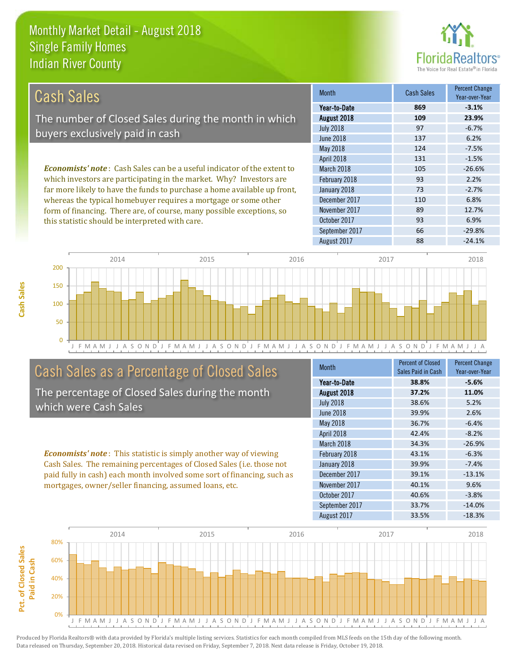this statistic should be interpreted with care.



93 6.9%

| Cash Sales                                                                     | <b>Month</b>      | <b>Cash Sales</b> | <b>Percent Change</b><br>Year-over-Year |
|--------------------------------------------------------------------------------|-------------------|-------------------|-----------------------------------------|
|                                                                                | Year-to-Date      | 869               | $-3.1%$                                 |
| The number of Closed Sales during the month in which                           | August 2018       | 109               | 23.9%                                   |
|                                                                                | <b>July 2018</b>  | 97                | $-6.7%$                                 |
| buyers exclusively paid in cash                                                | June 2018         | 137               | 6.2%                                    |
|                                                                                | May 2018          | 124               | $-7.5%$                                 |
|                                                                                | <b>April 2018</b> | 131               | $-1.5%$                                 |
| <b>Economists' note:</b> Cash Sales can be a useful indicator of the extent to | March 2018        | 105               | $-26.6%$                                |
| which investors are participating in the market. Why? Investors are            | February 2018     | 93                | 2.2%                                    |
| far more likely to have the funds to purchase a home available up front,       | January 2018      | 73                | $-2.7%$                                 |
| whereas the typical homebuyer requires a mortgage or some other                | December 2017     | 110               | 6.8%                                    |
| form of financing. There are, of course, many possible exceptions, so          | November 2017     | 89                | 12.7%                                   |

J F M A M J J A S O N D J F M A M J J A S O N D J F M A M J J A S O N D J F M A M J J A S O N D J F M A M J J A  $\Omega$ 50 100 150 200 2014 2015 2016 2017 2018

#### Cash Sales as a Percentage of Closed Sales

The percentage of Closed Sales during the month which were Cash Sales

*Economists' note* : This statistic is simply another way of viewing Cash Sales. The remaining percentages of Closed Sales (i.e. those not paid fully in cash) each month involved some sort of financing, such as mortgages, owner/seller financing, assumed loans, etc.

| <b>Month</b>     | <b>Percent of Closed</b><br>Sales Paid in Cash | <b>Percent Change</b><br>Year-over-Year |
|------------------|------------------------------------------------|-----------------------------------------|
| Year-to-Date     | 38.8%                                          | $-5.6%$                                 |
| August 2018      | 37.2%                                          | 11.0%                                   |
| <b>July 2018</b> | 38.6%                                          | 5.2%                                    |
| June 2018        | 39.9%                                          | 2.6%                                    |
| May 2018         | 36.7%                                          | $-6.4%$                                 |
| April 2018       | 42.4%                                          | $-8.2%$                                 |
| March 2018       | 34.3%                                          | $-26.9%$                                |
| February 2018    | 43.1%                                          | $-6.3%$                                 |
| January 2018     | 39.9%                                          | $-7.4%$                                 |
| December 2017    | 39.1%                                          | $-13.1%$                                |
| November 2017    | 40.1%                                          | 9.6%                                    |
| October 2017     | 40.6%                                          | $-3.8%$                                 |
| September 2017   | 33.7%                                          | $-14.0%$                                |
| August 2017      | 33.5%                                          | $-18.3%$                                |

August 2017 **88** -24.1%

September 2017 66 -29.8%

October 2017

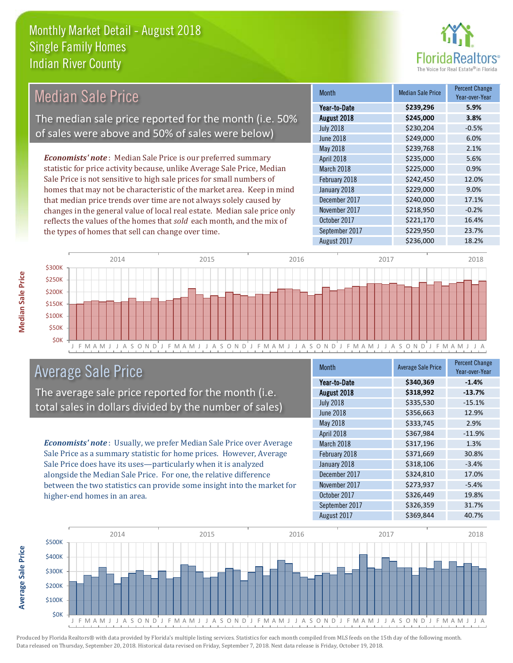

| Median Sale Price                                                         | <b>Month</b>      | <b>Median Sale Price</b> | <b>Percent Change</b><br>Year-over-Year |
|---------------------------------------------------------------------------|-------------------|--------------------------|-----------------------------------------|
|                                                                           | Year-to-Date      | \$239,296                | 5.9%                                    |
| The median sale price reported for the month (i.e. 50%                    | August 2018       | \$245,000                | 3.8%                                    |
| of sales were above and 50% of sales were below)                          | <b>July 2018</b>  | \$230,204                | $-0.5%$                                 |
|                                                                           | <b>June 2018</b>  | \$249,000                | 6.0%                                    |
|                                                                           | May 2018          | \$239,768                | 2.1%                                    |
| <b>Economists' note:</b> Median Sale Price is our preferred summary       | <b>April 2018</b> | \$235,000                | 5.6%                                    |
| statistic for price activity because, unlike Average Sale Price, Median   | March 2018        | \$225,000                | 0.9%                                    |
| Sale Price is not sensitive to high sale prices for small numbers of      | February 2018     | \$242,450                | 12.0%                                   |
| homes that may not be characteristic of the market area. Keep in mind     | January 2018      | \$229,000                | 9.0%                                    |
| that median price trends over time are not always solely caused by        | December 2017     | \$240,000                | 17.1%                                   |
| changes in the general value of local real estate. Median sale price only | November 2017     | \$218,950                | $-0.2%$                                 |
| reflects the values of the homes that sold each month, and the mix of     | October 2017      | \$221,170                | 16.4%                                   |
| the types of homes that sell can change over time.                        | September 2017    | \$229,950                | 23.7%                                   |



#### Average Sale Price

The average sale price reported for the month (i.e. total sales in dollars divided by the number of sales)

*Economists' note* : Usually, we prefer Median Sale Price over Average Sale Price as a summary statistic for home prices. However, Average Sale Price does have its uses—particularly when it is analyzed alongside the Median Sale Price. For one, the relative difference between the two statistics can provide some insight into the market for higher-end homes in an area.

| <b>Month</b>     | <b>Average Sale Price</b> | <b>Percent Change</b><br>Year-over-Year |
|------------------|---------------------------|-----------------------------------------|
| Year-to-Date     | \$340,369                 | $-1.4%$                                 |
| August 2018      | \$318,992                 | $-13.7%$                                |
| <b>July 2018</b> | \$335,530                 | $-15.1%$                                |
| June 2018        | \$356,663                 | 12.9%                                   |
| May 2018         | \$333,745                 | 2.9%                                    |
| April 2018       | \$367,984                 | $-11.9%$                                |
| March 2018       | \$317,196                 | 1.3%                                    |
| February 2018    | \$371,669                 | 30.8%                                   |
| January 2018     | \$318,106                 | $-3.4%$                                 |
| December 2017    | \$324,810                 | 17.0%                                   |
| November 2017    | \$273,937                 | $-5.4%$                                 |
| October 2017     | \$326,449                 | 19.8%                                   |
| September 2017   | \$326,359                 | 31.7%                                   |
| August 2017      | \$369,844                 | 40.7%                                   |

August 2017 **\$236,000** 18.2%



Produced by Florida Realtors® with data provided by Florida's multiple listing services. Statistics for each month compiled from MLS feeds on the 15th day of the following month. Data released on Thursday, September 20, 2018. Historical data revised on Friday, September 7, 2018. Next data release is Friday, October 19, 2018.

**Average Sale Price**

**Average Sale Price**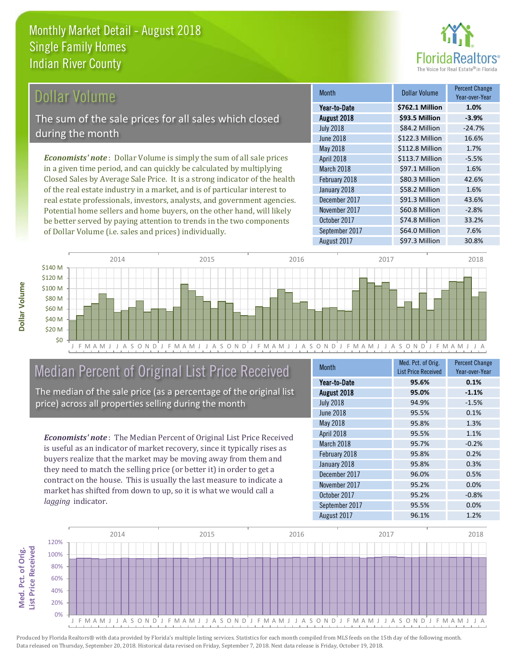

#### Dollar Volume

The sum of the sale prices for all sales which closed during the month

*Economists' note* : Dollar Volume is simply the sum of all sale prices in a given time period, and can quickly be calculated by multiplying Closed Sales by Average Sale Price. It is a strong indicator of the health of the real estate industry in a market, and is of particular interest to real estate professionals, investors, analysts, and government agencies. Potential home sellers and home buyers, on the other hand, will likely be better served by paying attention to trends in the two components of Dollar Volume (i.e. sales and prices) individually.

| <b>Month</b>     | <b>Dollar Volume</b> | Percent Change<br>Year-over-Year |
|------------------|----------------------|----------------------------------|
| Year-to-Date     | \$762.1 Million      | 1.0%                             |
| August 2018      | \$93.5 Million       | $-3.9%$                          |
| <b>July 2018</b> | \$84.2 Million       | $-24.7%$                         |
| <b>June 2018</b> | \$122.3 Million      | 16.6%                            |
| <b>May 2018</b>  | \$112.8 Million      | 1.7%                             |
| April 2018       | \$113.7 Million      | $-5.5%$                          |
| March 2018       | \$97.1 Million       | 1.6%                             |
| February 2018    | \$80.3 Million       | 42.6%                            |
| January 2018     | \$58.2 Million       | 1.6%                             |
| December 2017    | \$91.3 Million       | 43.6%                            |
| November 2017    | \$60.8 Million       | $-2.8%$                          |
| October 2017     | \$74.8 Million       | 33.2%                            |
| September 2017   | \$64.0 Million       | 7.6%                             |
| August 2017      | \$97.3 Million       | 30.8%                            |



### Median Percent of Original List Price Received

The median of the sale price (as a percentage of the original list price) across all properties selling during the month

*Economists' note* : The Median Percent of Original List Price Received is useful as an indicator of market recovery, since it typically rises as buyers realize that the market may be moving away from them and they need to match the selling price (or better it) in order to get a contract on the house. This is usually the last measure to indicate a market has shifted from down to up, so it is what we would call a *lagging* indicator.

| <b>Month</b>     | Med. Pct. of Orig.         | <b>Percent Change</b> |
|------------------|----------------------------|-----------------------|
|                  | <b>List Price Received</b> | Year-over-Year        |
| Year-to-Date     | 95.6%                      | 0.1%                  |
| August 2018      | 95.0%                      | $-1.1%$               |
| <b>July 2018</b> | 94.9%                      | $-1.5%$               |
| <b>June 2018</b> | 95.5%                      | 0.1%                  |
| May 2018         | 95.8%                      | 1.3%                  |
| April 2018       | 95.5%                      | 1.1%                  |
| March 2018       | 95.7%                      | $-0.2%$               |
| February 2018    | 95.8%                      | 0.2%                  |
| January 2018     | 95.8%                      | 0.3%                  |
| December 2017    | 96.0%                      | 0.5%                  |
| November 2017    | 95.2%                      | 0.0%                  |
| October 2017     | 95.2%                      | $-0.8%$               |
| September 2017   | 95.5%                      | 0.0%                  |
| August 2017      | 96.1%                      | 1.2%                  |



Produced by Florida Realtors® with data provided by Florida's multiple listing services. Statistics for each month compiled from MLS feeds on the 15th day of the following month. Data released on Thursday, September 20, 2018. Historical data revised on Friday, September 7, 2018. Next data release is Friday, October 19, 2018.

Med. Pct. of Orig.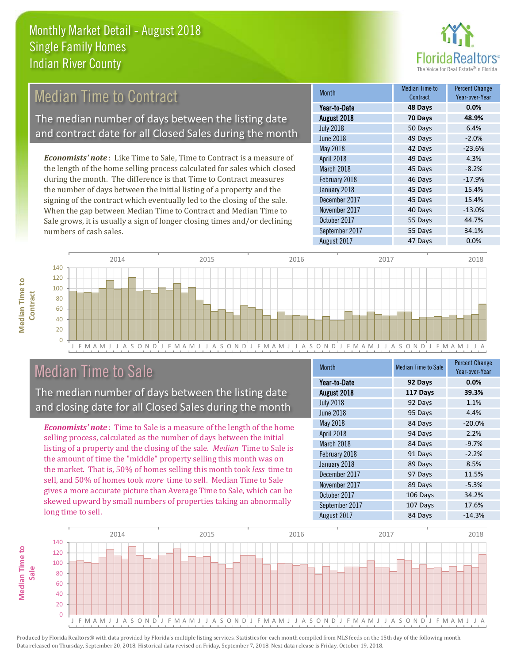

#### 49 Days -2.0% May 2018 **42 Days** -23.6% December 2017 **45 Days** 15.4% Month Month Median Time to **Contract** Percent Change Year-over-Year August 2018 **70 Days 48.9%** Year-to-Date **48 Days 0.0%** July 2018 **50 Days** 6.4% June 2018 February 2018 **46 Days** -17.9% January 2018 **45 Days** 15.4% April 2018 **49 Days** 4.3% March 2018 **45 Days** -8.2% 40 Days -13.0% November 2017 *Economists' note* : Like Time to Sale, Time to Contract is a measure of the length of the home selling process calculated for sales which closed during the month. The difference is that Time to Contract measures the number of days between the initial listing of a property and the signing of the contract which eventually led to the closing of the sale. When the gap between Median Time to Contract and Median Time to Median Time to Contract The median number of days between the listing date and contract date for all Closed Sales during the month

J F M A M J J A S O N D J F M A M J J A S O N D J F M A M J J A S O N D J F M A M J J A S O N D J F M A M J J A  $\Omega$ 20 40 60 80 100 120 140 2014 2015 2016 2017 2018

#### Median Time to Sale

numbers of cash sales.

**Median Time to Contract**

**Median Time to** 

The median number of days between the listing date and closing date for all Closed Sales during the month

Sale grows, it is usually a sign of longer closing times and/or declining

*Economists' note* : Time to Sale is a measure of the length of the home selling process, calculated as the number of days between the initial listing of a property and the closing of the sale. *Median* Time to Sale is the amount of time the "middle" property selling this month was on the market. That is, 50% of homes selling this month took *less* time to sell, and 50% of homes took *more* time to sell. Median Time to Sale gives a more accurate picture than Average Time to Sale, which can be skewed upward by small numbers of properties taking an abnormally long time to sell.

| <b>Month</b>     | <b>Median Time to Sale</b> | <b>Percent Change</b><br>Year-over-Year |
|------------------|----------------------------|-----------------------------------------|
| Year-to-Date     | 92 Days                    | 0.0%                                    |
| August 2018      | 117 Days                   | 39.3%                                   |
| <b>July 2018</b> | 92 Days                    | 1.1%                                    |
| <b>June 2018</b> | 95 Days                    | 4.4%                                    |
| May 2018         | 84 Days                    | $-20.0%$                                |
| April 2018       | 94 Days                    | 2.2%                                    |
| March 2018       | 84 Days                    | $-9.7%$                                 |
| February 2018    | 91 Days                    | $-2.2%$                                 |
| January 2018     | 89 Days                    | 8.5%                                    |
| December 2017    | 97 Days                    | 11.5%                                   |
| November 2017    | 89 Days                    | $-5.3%$                                 |
| October 2017     | 106 Days                   | 34.2%                                   |
| September 2017   | 107 Days                   | 17.6%                                   |
| August 2017      | 84 Days                    | $-14.3%$                                |

October 2017 **55 Days** 44.7%

September 2017 55 Days 34.1% August 2017 **47 Days** 0.0%

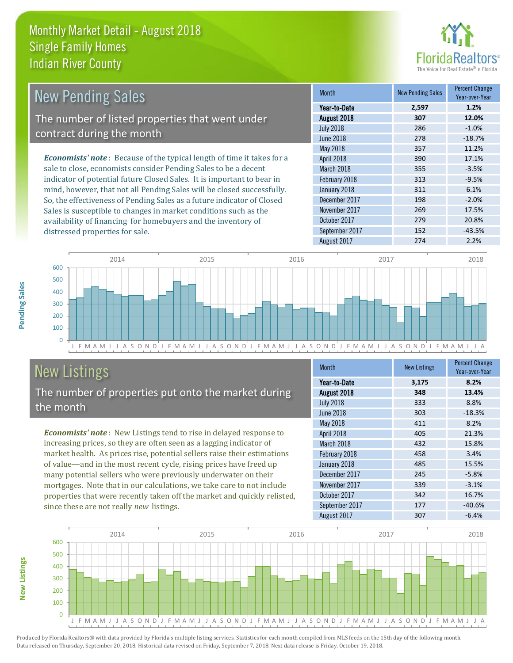

| <b>New Pending Sales</b>                                                      | <b>Month</b>      | <b>New Pending Sales</b> | <b>Percent Change</b><br>Year-over-Year |
|-------------------------------------------------------------------------------|-------------------|--------------------------|-----------------------------------------|
|                                                                               | Year-to-Date      | 2,597                    | 1.2%                                    |
| The number of listed properties that went under                               | August 2018       | 307                      | 12.0%                                   |
|                                                                               | <b>July 2018</b>  | 286                      | $-1.0%$                                 |
| contract during the month                                                     | June 2018         | 278                      | $-18.7%$                                |
|                                                                               | May 2018          | 357                      | 11.2%                                   |
| <b>Economists' note:</b> Because of the typical length of time it takes for a | <b>April 2018</b> | 390                      | 17.1%                                   |
| sale to close, economists consider Pending Sales to be a decent               | March 2018        | 355                      | $-3.5%$                                 |
| indicator of potential future Closed Sales. It is important to bear in        | February 2018     | 313                      | $-9.5%$                                 |
| mind, however, that not all Pending Sales will be closed successfully.        | January 2018      | 311                      | 6.1%                                    |
| So, the effectiveness of Pending Sales as a future indicator of Closed        | December 2017     | 198                      | $-2.0%$                                 |
| Sales is susceptible to changes in market conditions such as the              | November 2017     | 269                      | 17.5%                                   |
| availability of financing for homebuyers and the inventory of                 | October 2017      | 279                      | 20.8%                                   |



# New Listings

distressed properties for sale.

The number of properties put onto the market during the month

*Economists' note* : New Listings tend to rise in delayed response to increasing prices, so they are often seen as a lagging indicator of market health. As prices rise, potential sellers raise their estimations of value—and in the most recent cycle, rising prices have freed up many potential sellers who were previously underwater on their mortgages. Note that in our calculations, we take care to not include properties that were recently taken off the market and quickly relisted, since these are not really *new* listings.

| <b>Month</b>     | <b>New Listings</b> | <b>Percent Change</b><br>Year-over-Year |
|------------------|---------------------|-----------------------------------------|
| Year-to-Date     | 3,175               | 8.2%                                    |
| August 2018      | 348                 | 13.4%                                   |
| <b>July 2018</b> | 333                 | 8.8%                                    |
| June 2018        | 303                 | $-18.3%$                                |
| May 2018         | 411                 | 8.2%                                    |
| April 2018       | 405                 | 21.3%                                   |
| March 2018       | 432                 | 15.8%                                   |
| February 2018    | 458                 | 3.4%                                    |
| January 2018     | 485                 | 15.5%                                   |
| December 2017    | 245                 | $-5.8%$                                 |
| November 2017    | 339                 | $-3.1%$                                 |
| October 2017     | 342                 | 16.7%                                   |
| September 2017   | 177                 | $-40.6%$                                |
| August 2017      | 307                 | $-6.4%$                                 |

September 2017 152 -43.5%



Produced by Florida Realtors® with data provided by Florida's multiple listing services. Statistics for each month compiled from MLS feeds on the 15th day of the following month. Data released on Thursday, September 20, 2018. Historical data revised on Friday, September 7, 2018. Next data release is Friday, October 19, 2018.

**New Listings**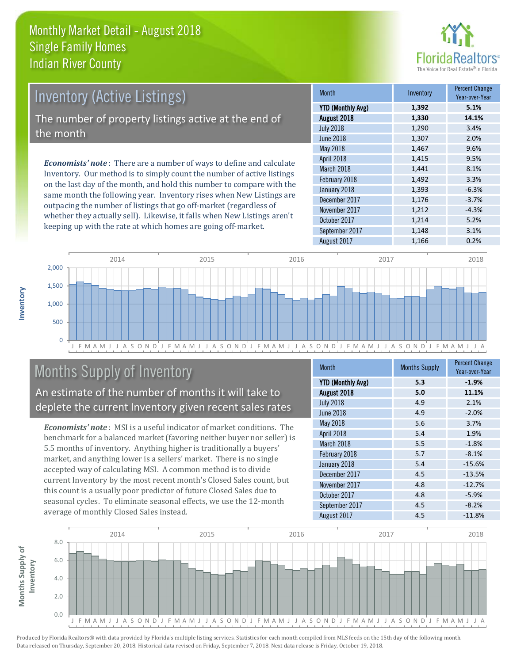

# Inventory (Active Listings) The number of property listings active at the end of the month

*Economists' note* : There are a number of ways to define and calculate Inventory. Our method is to simply count the number of active listings on the last day of the month, and hold this number to compare with the same month the following year. Inventory rises when New Listings are outpacing the number of listings that go off-market (regardless of whether they actually sell). Likewise, it falls when New Listings aren't keeping up with the rate at which homes are going off-market.

| <b>Month</b>             | Inventory | <b>Percent Change</b><br>Year-over-Year |
|--------------------------|-----------|-----------------------------------------|
| <b>YTD (Monthly Avg)</b> | 1,392     | 5.1%                                    |
| August 2018              | 1,330     | 14.1%                                   |
| <b>July 2018</b>         | 1,290     | 3.4%                                    |
| <b>June 2018</b>         | 1,307     | 2.0%                                    |
| May 2018                 | 1,467     | 9.6%                                    |
| April 2018               | 1,415     | 9.5%                                    |
| March 2018               | 1,441     | 8.1%                                    |
| February 2018            | 1,492     | 3.3%                                    |
| January 2018             | 1,393     | $-6.3%$                                 |
| December 2017            | 1,176     | $-3.7%$                                 |
| November 2017            | 1,212     | $-4.3%$                                 |
| October 2017             | 1,214     | 5.2%                                    |
| September 2017           | 1,148     | 3.1%                                    |
| August 2017              | 1,166     | 0.2%                                    |



### Months Supply of Inventory

An estimate of the number of months it will take to deplete the current Inventory given recent sales rates

*Economists' note* : MSI is a useful indicator of market conditions. The benchmark for a balanced market (favoring neither buyer nor seller) is 5.5 months of inventory. Anything higher is traditionally a buyers' market, and anything lower is a sellers' market. There is no single accepted way of calculating MSI. A common method is to divide current Inventory by the most recent month's Closed Sales count, but this count is a usually poor predictor of future Closed Sales due to seasonal cycles. To eliminate seasonal effects, we use the 12-month average of monthly Closed Sales instead.

| <b>Month</b>             | <b>Months Supply</b> | <b>Percent Change</b><br>Year-over-Year |
|--------------------------|----------------------|-----------------------------------------|
| <b>YTD (Monthly Avg)</b> | 5.3                  | $-1.9%$                                 |
| August 2018              | 5.0                  | 11.1%                                   |
| <b>July 2018</b>         | 4.9                  | 2.1%                                    |
| <b>June 2018</b>         | 4.9                  | $-2.0%$                                 |
| May 2018                 | 5.6                  | 3.7%                                    |
| April 2018               | 5.4                  | 1.9%                                    |
| March 2018               | 5.5                  | $-1.8%$                                 |
| February 2018            | 5.7                  | $-8.1%$                                 |
| January 2018             | 5.4                  | $-15.6%$                                |
| December 2017            | 4.5                  | $-13.5%$                                |
| November 2017            | 4.8                  | $-12.7%$                                |
| October 2017             | 4.8                  | $-5.9%$                                 |
| September 2017           | 4.5                  | $-8.2%$                                 |
| August 2017              | 4.5                  | $-11.8%$                                |

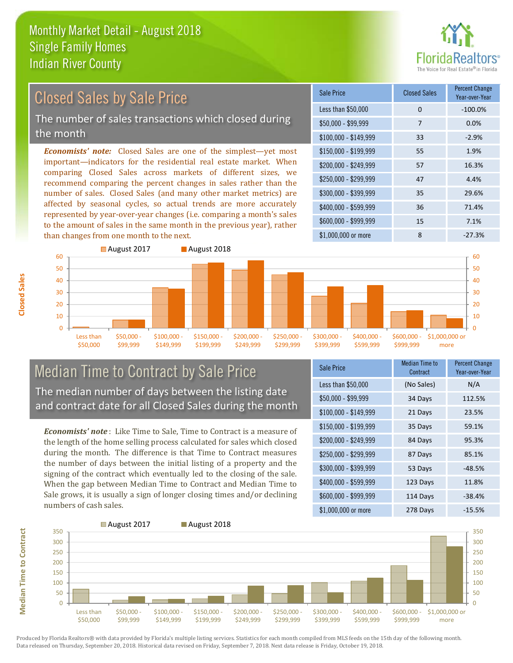

## Closed Sales by Sale Price

The number of sales transactions which closed during the month

*Economists' note:* Closed Sales are one of the simplest—yet most important—indicators for the residential real estate market. When comparing Closed Sales across markets of different sizes, we recommend comparing the percent changes in sales rather than the number of sales. Closed Sales (and many other market metrics) are affected by seasonal cycles, so actual trends are more accurately represented by year-over-year changes (i.e. comparing a month's sales to the amount of sales in the same month in the previous year), rather than changes from one month to the next.

| Sale Price            | <b>Closed Sales</b> | <b>Percent Change</b><br>Year-over-Year |
|-----------------------|---------------------|-----------------------------------------|
| Less than \$50,000    | 0                   | $-100.0%$                               |
| $$50,000 - $99,999$   | 7                   | 0.0%                                    |
| $$100,000 - $149,999$ | 33                  | $-2.9%$                                 |
| $$150,000 - $199,999$ | 55                  | 1.9%                                    |
| \$200,000 - \$249,999 | 57                  | 16.3%                                   |
| \$250,000 - \$299,999 | 47                  | 4.4%                                    |
| \$300,000 - \$399,999 | 35                  | 29.6%                                   |
| \$400,000 - \$599,999 | 36                  | 71.4%                                   |
| \$600,000 - \$999,999 | 15                  | 7.1%                                    |
| \$1,000,000 or more   | 8                   | $-27.3%$                                |



#### Median Time to Contract by Sale Price The median number of days between the listing date and contract date for all Closed Sales during the month

*Economists' note* : Like Time to Sale, Time to Contract is a measure of the length of the home selling process calculated for sales which closed during the month. The difference is that Time to Contract measures the number of days between the initial listing of a property and the signing of the contract which eventually led to the closing of the sale. When the gap between Median Time to Contract and Median Time to Sale grows, it is usually a sign of longer closing times and/or declining numbers of cash sales.

| Sale Price            | <b>Median Time to</b><br>Contract | <b>Percent Change</b><br>Year-over-Year |
|-----------------------|-----------------------------------|-----------------------------------------|
| Less than \$50,000    | (No Sales)                        | N/A                                     |
| \$50,000 - \$99,999   | 34 Days                           | 112.5%                                  |
| $$100,000 - $149,999$ | 21 Days                           | 23.5%                                   |
| $$150,000 - $199,999$ | 35 Days                           | 59.1%                                   |
| \$200,000 - \$249,999 | 84 Days                           | 95.3%                                   |
| \$250,000 - \$299,999 | 87 Days                           | 85.1%                                   |
| \$300,000 - \$399,999 | 53 Days                           | $-48.5%$                                |
| \$400,000 - \$599,999 | 123 Days                          | 11.8%                                   |
| \$600,000 - \$999,999 | 114 Days                          | $-38.4%$                                |
| \$1,000,000 or more   | 278 Days                          | $-15.5%$                                |



**Closed Sales**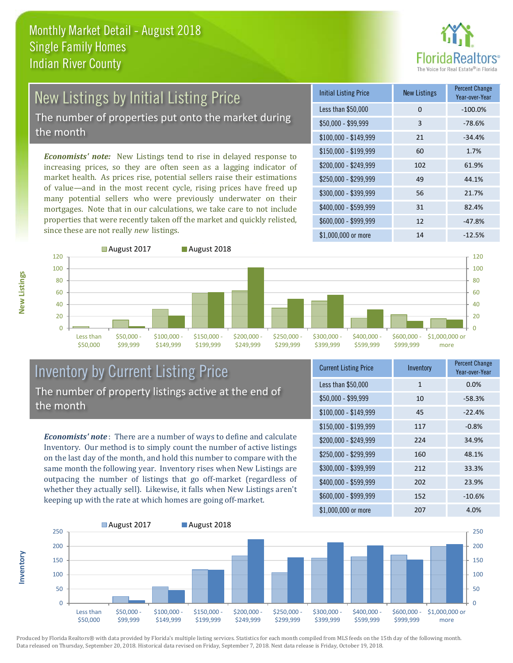

# New Listings by Initial Listing Price

The number of properties put onto the market during the month

*Economists' note:* New Listings tend to rise in delayed response to increasing prices, so they are often seen as a lagging indicator of market health. As prices rise, potential sellers raise their estimations of value—and in the most recent cycle, rising prices have freed up many potential sellers who were previously underwater on their mortgages. Note that in our calculations, we take care to not include properties that were recently taken off the market and quickly relisted, since these are not really *new* listings.

| <b>Initial Listing Price</b> | <b>New Listings</b> | <b>Percent Change</b><br>Year-over-Year |
|------------------------------|---------------------|-----------------------------------------|
| Less than \$50,000           | 0                   | $-100.0%$                               |
| \$50,000 - \$99,999          | 3                   | $-78.6%$                                |
| $$100,000 - $149,999$        | 21                  | $-34.4%$                                |
| $$150,000 - $199,999$        | 60                  | 1.7%                                    |
| \$200,000 - \$249,999        | 102                 | 61.9%                                   |
| \$250,000 - \$299,999        | 49                  | 44.1%                                   |
| \$300,000 - \$399,999        | 56                  | 21.7%                                   |
| \$400,000 - \$599,999        | 31                  | 82.4%                                   |
| \$600,000 - \$999,999        | 12                  | $-47.8%$                                |
| \$1,000,000 or more          | 14                  | $-12.5%$                                |



#### Inventory by Current Listing Price The number of property listings active at the end of the month

*Economists' note* : There are a number of ways to define and calculate Inventory. Our method is to simply count the number of active listings on the last day of the month, and hold this number to compare with the same month the following year. Inventory rises when New Listings are outpacing the number of listings that go off-market (regardless of whether they actually sell). Likewise, it falls when New Listings aren't keeping up with the rate at which homes are going off-market.

| <b>Current Listing Price</b> | Inventory    | <b>Percent Change</b><br>Year-over-Year |
|------------------------------|--------------|-----------------------------------------|
| Less than \$50,000           | $\mathbf{1}$ | 0.0%                                    |
| $$50,000 - $99,999$          | 10           | $-58.3%$                                |
| $$100,000 - $149,999$        | 45           | $-22.4%$                                |
| $$150,000 - $199,999$        | 117          | $-0.8%$                                 |
| \$200,000 - \$249,999        | 224          | 34.9%                                   |
| \$250,000 - \$299,999        | 160          | 48.1%                                   |
| \$300,000 - \$399,999        | 212          | 33.3%                                   |
| \$400,000 - \$599,999        | 202          | 23.9%                                   |
| \$600,000 - \$999,999        | 152          | $-10.6%$                                |
| \$1,000,000 or more          | 207          | 4.0%                                    |



Produced by Florida Realtors® with data provided by Florida's multiple listing services. Statistics for each month compiled from MLS feeds on the 15th day of the following month. Data released on Thursday, September 20, 2018. Historical data revised on Friday, September 7, 2018. Next data release is Friday, October 19, 2018.

**Inventory**